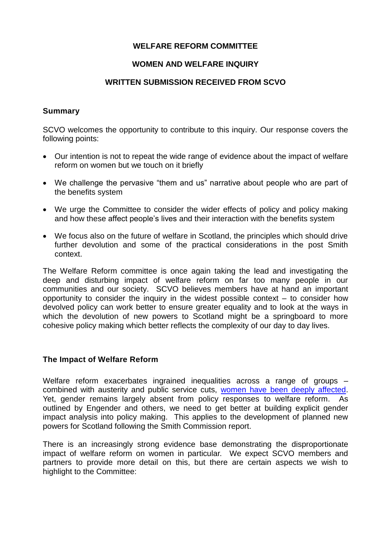## **WELFARE REFORM COMMITTEE**

## **WOMEN AND WELFARE INQUIRY**

#### **WRITTEN SUBMISSION RECEIVED FROM SCVO**

#### **Summary**

SCVO welcomes the opportunity to contribute to this inquiry. Our response covers the following points:

- Our intention is not to repeat the wide range of evidence about the impact of welfare reform on women but we touch on it briefly
- We challenge the pervasive "them and us" narrative about people who are part of the benefits system
- We urge the Committee to consider the wider effects of policy and policy making and how these affect people's lives and their interaction with the benefits system
- We focus also on the future of welfare in Scotland, the principles which should drive further devolution and some of the practical considerations in the post Smith context.

The Welfare Reform committee is once again taking the lead and investigating the deep and disturbing impact of welfare reform on far too many people in our communities and our society. SCVO believes members have at hand an important opportunity to consider the inquiry in the widest possible context – to consider how devolved policy can work better to ensure greater equality and to look at the ways in which the devolution of new powers to Scotland might be a springboard to more cohesive policy making which better reflects the complexity of our day to day lives.

## **The Impact of Welfare Reform**

Welfare reform exacerbates ingrained inequalities across a range of groups – combined with austerity and public service cuts, [women have been deeply affected.](http://www.engender.org.uk/content/publications/1411-WR-committee-Draft-Budget.pdf) Yet, gender remains largely absent from policy responses to welfare reform. As outlined by Engender and others, we need to get better at building explicit gender impact analysis into policy making. This applies to the development of planned new powers for Scotland following the Smith Commission report.

There is an increasingly strong evidence base demonstrating the disproportionate impact of welfare reform on women in particular. We expect SCVO members and partners to provide more detail on this, but there are certain aspects we wish to highlight to the Committee: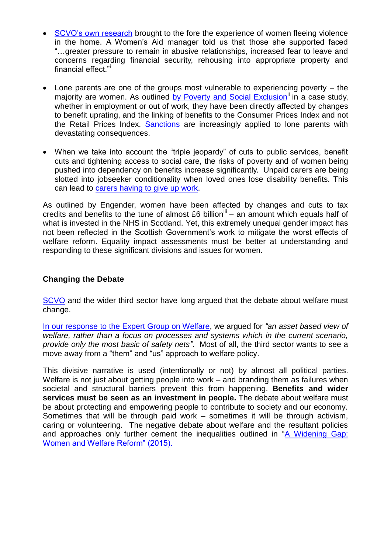- [SCVO's own research](http://www.scvo.org.uk/news-campaigns-and-policy/research/third-sector-and-welfare-on-the-frontline/) brought to the fore the experience of women fleeing violence in the home. A Women's Aid manager told us that those she supported faced "…greater pressure to remain in abusive relationships, increased fear to leave and concerns regarding financial security, rehousing into appropriate property and financial effect."<sup>i</sup>
- Lone parents are one of the groups most vulnerable to experiencing poverty the majority are women. As outlined [by Poverty and Social Exclusion](http://www.poverty.ac.uk/living-poverty/personal-experiences/jennie-single-parent)<sup>ii</sup> in a case study, whether in employment or out of work, they have been directly affected by changes to benefit uprating, and the linking of benefits to the Consumer Prices Index and not the Retail Prices Index. [Sanctions](http://opfs.org.uk/wp-content/uploads/Briefing-201410_Barriers-and-opportunities-facing-lone-parents-moving-into-paid-work.pdf) are increasingly applied to lone parents with devastating consequences.
- When we take into account the "triple jeopardy" of cuts to public services, benefit cuts and tightening access to social care, the risks of poverty and of women being pushed into dependency on benefits increase significantly. Unpaid carers are being slotted into jobseeker conditionality when loved ones lose disability benefits. This can lead to [carers having to give up work.](http://www.cas.org.uk/system/files/publications/CAS%20response%20PIP%20assessment%20review%20FINAL_0.pdf)

As outlined by Engender, women have been affected by changes and cuts to tax credits and benefits to the tune of almost  $£6$  billion<sup>iii</sup> – an amount which equals half of what is invested in the NHS in Scotland. Yet, this extremely unequal gender impact has not been reflected in the Scottish Government's work to mitigate the worst effects of welfare reform. Equality impact assessments must be better at understanding and responding to these significant divisions and issues for women.

# **Changing the Debate**

[SCVO](http://www.scvo.org.uk/long-form-posts/2912/#Anchor1) and the wider third sector have long argued that the debate about welfare must change.

In our response [to the Expert Group on Welfare,](http://www.scvo.org.uk/long-form-posts/2912/#Anchor1) we argued for *"an asset based view of welfare, rather than a focus on processes and systems which in the current scenario, provide only the most basic of safety nets"*. Most of all, the third sector wants to see a move away from a "them" and "us" approach to welfare policy.

This divisive narrative is used (intentionally or not) by almost all political parties. Welfare is not just about getting people into work – and branding them as failures when societal and structural barriers prevent this from happening. **Benefits and wider services must be seen as an investment in people.** The debate about welfare must be about protecting and empowering people to contribute to society and our economy. Sometimes that will be through paid work – sometimes it will be through activism, caring or volunteering. The negative debate about welfare and the resultant policies and approaches only further cement the inequalities outlined in "A Widening Gap: [Women and Welfare Reform" \(2015\).](http://www.engender.org.uk/news/blog/a-widening-gap---new-report-shows-women-bear-the-brunt-of-welfare-reform/)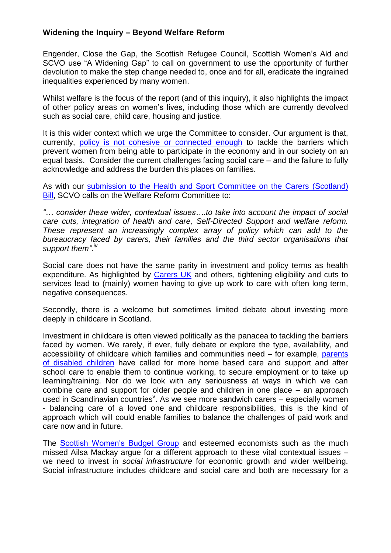## **Widening the Inquiry – Beyond Welfare Reform**

Engender, Close the Gap, the Scottish Refugee Council, Scottish Women's Aid and SCVO use "A Widening Gap" to call on government to use the opportunity of further devolution to make the step change needed to, once and for all, eradicate the ingrained inequalities experienced by many women.

Whilst welfare is the focus of the report (and of this inquiry), it also highlights the impact of other policy areas on women's lives, including those which are currently devolved such as social care, child care, housing and justice.

It is this wider context which we urge the Committee to consider. Our argument is that, currently, [policy is not cohesive or connected enough](http://www.swbg.org.uk/content/publications/SWBG-response-DB-EBS-2015-16.pdf) to tackle the barriers which prevent women from being able to participate in the economy and in our society on an equal basis. Consider the current challenges facing social care – and the failure to fully acknowledge and address the burden this places on families.

As with our [submission to the Health and Sport Committee on the Carers \(Scotland\)](http://www.scvo.org.uk/long-form-posts/carers-scotland-bill-stage-1-briefing-for-health-and-sport-committee/) **Bill**, SCVO calls on the Welfare Reform Committee to:

*"… consider these wider, contextual issues….to take into account the impact of social care cuts, integration of health and care, Self-Directed Support and welfare reform. These represent an increasingly complex array of policy which can add to the bureaucracy faced by carers, their families and the third sector organisations that support them".iv*

Social care does not have the same parity in investment and policy terms as health expenditure. As highlighted by [Carers UK](http://www.carersuk.org/36-for-professionals/report/138-caring-family-finances-inquiry) and others, tightening eligibility and cuts to services lead to (mainly) women having to give up work to care with often long term, negative consequences.

Secondly, there is a welcome but sometimes limited debate about investing more deeply in childcare in Scotland.

Investment in childcare is often viewed politically as the panacea to tackling the barriers faced by women. We rarely, if ever, fully debate or explore the type, availability, and accessibility of childcare which families and communities need – for example, parents [of disabled children](http://www.cafamily.org.uk/media/759595/childcare_costs_for_families_with_disabled_children_survey_report_2004.pdf) have called for more home based care and support and after school care to enable them to continue working, to secure employment or to take up learning/training. Nor do we look with any seriousness at ways in which we can combine care and support for older people and children in one place – an approach used in Scandinavian countries<sup>v</sup>. As we see more sandwich carers - especially women - balancing care of a loved one and childcare responsibilities, this is the kind of approach which will could enable families to balance the challenges of paid work and care now and in future.

The [Scottish Women's Budget Group](http://www.swbg.org.uk/content/publications/PLAN-F-2015.pdf) and esteemed economists such as the much missed Ailsa Mackay argue for a different approach to these vital contextual issues – we need to invest in *social infrastructure* for economic growth and wider wellbeing. Social infrastructure includes childcare and social care and both are necessary for a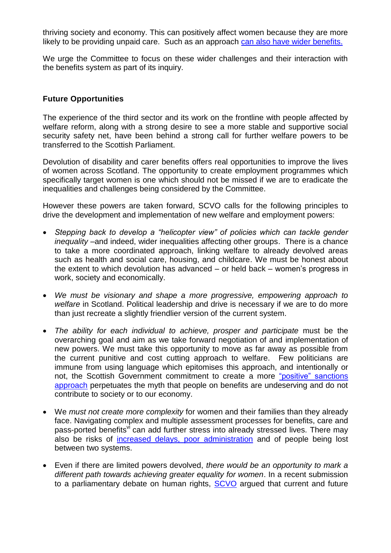thriving society and economy. This can positively affect women because they are more likely to be providing unpaid care. Such as an approach [can also have wider benefits.](http://www.swbg.org.uk/content/publications/SWBG-response-DB-EBS-2015-16.pdf)

We urge the Committee to focus on these wider challenges and their interaction with the benefits system as part of its inquiry.

## **Future Opportunities**

The experience of the third sector and its work on the frontline with people affected by welfare reform, along with a strong desire to see a more stable and supportive social security safety net, have been behind a strong call for further welfare powers to be transferred to the Scottish Parliament.

Devolution of disability and carer benefits offers real opportunities to improve the lives of women across Scotland. The opportunity to create employment programmes which specifically target women is one which should not be missed if we are to eradicate the inequalities and challenges being considered by the Committee.

However these powers are taken forward, SCVO calls for the following principles to drive the development and implementation of new welfare and employment powers:

- *Stepping back to develop a "helicopter view" of policies which can tackle gender inequality* –and indeed, wider inequalities affecting other groups. There is a chance to take a more coordinated approach, linking welfare to already devolved areas such as health and social care, housing, and childcare. We must be honest about the extent to which devolution has advanced – or held back – women's progress in work, society and economically.
- *We must be visionary and shape a more progressive, empowering approach to welfare* in Scotland. Political leadership and drive is necessary if we are to do more than just recreate a slightly friendlier version of the current system.
- *The ability for each individual to achieve, prosper and participate* must be the overarching goal and aim as we take forward negotiation of and implementation of new powers. We must take this opportunity to move as far away as possible from the current punitive and cost cutting approach to welfare. Few politicians are immune from using language which epitomises this approach, and intentionally or not, the Scottish Government commitment to create a more "positive" sanctions [approach](http://news.scotland.gov.uk/News/Government-responds-to-Welfare-Report-d33.aspx) perpetuates the myth that people on benefits are undeserving and do not contribute to society or to our economy.
- We *must not create more complexity* for women and their families than they already face. Navigating complex and multiple assessment processes for benefits, care and pass-ported benefits<sup>vi</sup> can add further stress into already stressed lives. There may also be risks of [increased delays, poor administration](../AppData/Local/Microsoft/Windows/INetCache/IE/B5WGAWZN/Child%20Poverty%20Action%20Group%20in%20Scotland%20Response%20to%20the%20Scottish%20Parliament%20Devolution%20(Further%20Powers)%20Committee%20call%20for%20evidence) and of people being lost between two systems.
- Even if there are limited powers devolved, *there would be an opportunity to mark a different path towards achieving greater equality for women*. In a recent submission to a parliamentary debate on human rights, **SCVO** argued that current and future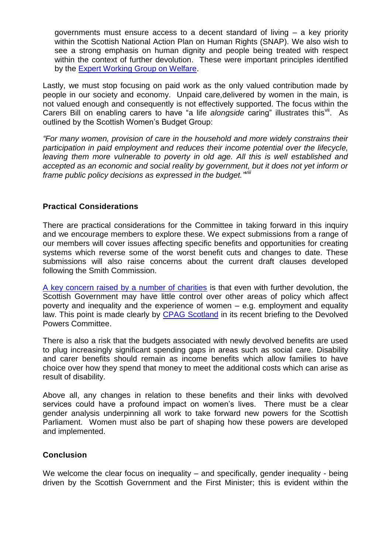governments must ensure access to a decent standard of living – a key priority within the Scottish National Action Plan on Human Rights (SNAP). We also wish to see a strong emphasis on human dignity and people being treated with respect within the context of further devolution. These were important principles identified by the [Expert Working Group on Welfare.](http://www.gov.scot/Publications/2014/06/7760)

Lastly, we must stop focusing on paid work as the only valued contribution made by people in our society and economy. Unpaid care,delivered by women in the main, is not valued enough and consequently is not effectively supported. The focus within the Carers Bill on enabling carers to have "a life alongside caring" illustrates this<sup>vii</sup>. As outlined by the Scottish Women's Budget Group:

*"For many women, provision of care in the household and more widely constrains their participation in paid employment and reduces their income potential over the lifecycle,*  leaving them more vulnerable to poverty in old age. All this is well established and *accepted as an economic and social reality by government, but it does not yet inform or frame public policy decisions as expressed in the budget." viii*

## **Practical Considerations**

There are practical considerations for the Committee in taking forward in this inquiry and we encourage members to explore these. We expect submissions from a range of our members will cover issues affecting specific benefits and opportunities for creating systems which reverse some of the worst benefit cuts and changes to date. These submissions will also raise concerns about the current draft clauses developed following the Smith Commission.

[A key concern raised by a number of charities](http://www.scvo.org.uk/long-form-posts/scvo-response-smith-commission/) is that even with further devolution, the Scottish Government may have little control over other areas of policy which affect poverty and inequality and the experience of women – e.g. employment and equality law. This point is made clearly by [CPAG Scotland](http://www.scottish.parliament.uk/S4_ScotlandBillCommittee/Meeting%20Papers/Public_Papers(7).pdf) in its recent briefing to the Devolved Powers Committee.

There is also a risk that the budgets associated with newly devolved benefits are used to plug increasingly significant spending gaps in areas such as social care. Disability and carer benefits should remain as income benefits which allow families to have choice over how they spend that money to meet the additional costs which can arise as result of disability.

Above all, any changes in relation to these benefits and their links with devolved services could have a profound impact on women's lives. There must be a clear gender analysis underpinning all work to take forward new powers for the Scottish Parliament. Women must also be part of shaping how these powers are developed and implemented.

## **Conclusion**

We welcome the clear focus on inequality – and specifically, gender inequality - being driven by the Scottish Government and the First Minister; this is evident within the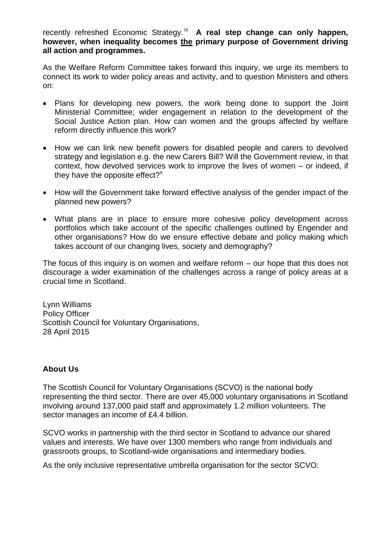recently refreshed Economic Strategy.<sup>ix</sup> A real step change can only happen, **however, when inequality becomes the primary purpose of Government driving all action and programmes.** 

As the Welfare Reform Committee takes forward this inquiry, we urge its members to connect its work to wider policy areas and activity, and to question Ministers and others on:

- Plans for developing new powers, the work being done to support the Joint Ministerial Committee; wider engagement in relation to the development of the Social Justice Action plan. How can women and the groups affected by welfare reform directly influence this work?
- How we can link new benefit powers for disabled people and carers to devolved strategy and legislation e.g. the new Carers Bill? Will the Government review, in that context, how devolved services work to improve the lives of women – or indeed, if they have the opposite effect? $x^*$
- How will the Government take forward effective analysis of the gender impact of the planned new powers?
- What plans are in place to ensure more cohesive policy development across portfolios which take account of the specific challenges outlined by Engender and other organisations? How do we ensure effective debate and policy making which takes account of our changing lives, society and demography?

The focus of this inquiry is on women and welfare reform – our hope that this does not discourage a wider examination of the challenges across a range of policy areas at a crucial time in Scotland.

Lynn Williams Policy Officer Scottish Council for Voluntary Organisations, 28 April 2015

## **About Us**

The Scottish Council for Voluntary Organisations (SCVO) is the national body representing the third sector. There are over 45,000 voluntary organisations in Scotland involving around 137,000 paid staff and approximately 1.2 million volunteers. The sector manages an income of £4.4 billion.

SCVO works in partnership with the third sector in Scotland to advance our shared values and interests. We have over 1300 members who range from individuals and grassroots groups, to Scotland-wide organisations and intermediary bodies.

As the only inclusive representative umbrella organisation for the sector SCVO: